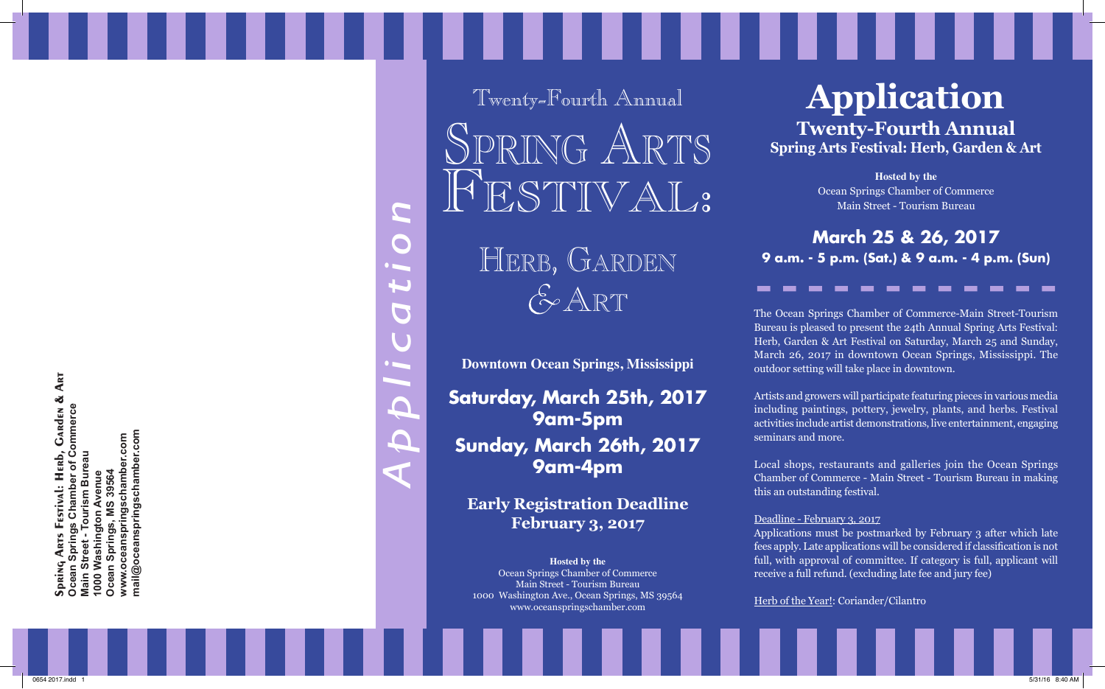**GARDEN & ART Spring Arts Festival: Herb, Garden & Art Ocean Springs Chamber of Commerce**  Commerce 1000 Washington Avenue<br>Ocean Springs, MS 39564<br>www.cceanspringschamber.com<br>mail@oceanspringschamber.com **mail@oceanspringschamber.com www.oceanspringschamber.com** Herb,<br>er of Co Tourism Bureau **Main Street - Tourism Bureau Ocean Springs, MS 39564 1000 Washington Avenue Street** 

*Application*  $\blacksquare$  $\bigcap$  $\mathbf{L}$  $\blacksquare$ J  $\Delta$  $\bigcap$ ď

Twenty-Fourth Annual SPRING ART FESTIVAL.

> Herb, Garden  $G$ ART

**Downtown Ocean Springs, Mississippi**

**Saturday, March 25th, 2017 9am-5pm Sunday, March 26th, 2017 9am-4pm**

**Early Registration Deadline February 3, 2017**

**Hosted by the** Ocean Springs Chamber of Commerce Main Street - Tourism Bureau 1000 Washington Ave., Ocean Springs, MS 39564 www.oceanspringschamber.com

# **Application**

**Twenty-Fourth Annual Spring Arts Festival: Herb, Garden & Art**

> **Hosted by the** Ocean Springs Chamber of Commerce Main Street - Tourism Bureau

**March 25 & 26, 2017 9 a.m. - 5 p.m. (Sat.) & 9 a.m. - 4 p.m. (Sun)**

The Ocean Springs Chamber of Commerce-Main Street-Tourism Bureau is pleased to present the 24th Annual Spring Arts Festival: Herb, Garden & Art Festival on Saturday, March 25 and Sunday, March 26, 2017 in downtown Ocean Springs, Mississippi. The outdoor setting will take place in downtown.

Artists and growers will participate featuring pieces in various media including paintings, pottery, jewelry, plants, and herbs. Festival activities include artist demonstrations, live entertainment, engaging seminars and more.

Local shops, restaurants and galleries join the Ocean Springs Chamber of Commerce - Main Street - Tourism Bureau in making this an outstanding festival.

#### Deadline - February 3, 2017

Applications must be postmarked by February 3 after which late fees apply. Late applications will be considered if classification is not full, with approval of committee. If category is full, applicant will receive a full refund. (excluding late fee and jury fee)

Herb of the Year!: Coriander/Cilantro